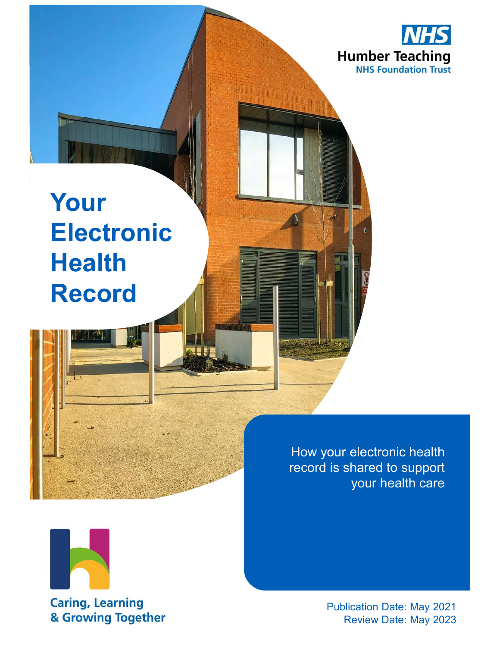

# Your Electronic **Health** Record

How your electronic health record is shared to support your health care



**Caring, Learning** & Growing Together

Publication Date: May 2021 Review Date: May 2023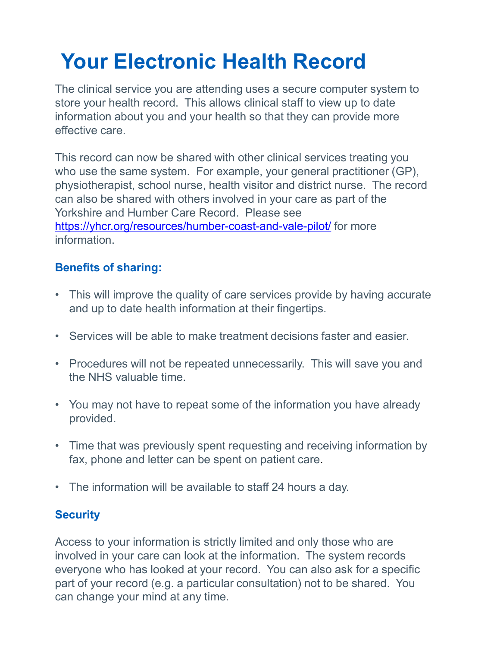## Your Electronic Health Record

The clinical service you are attending uses a secure computer system to store your health record. This allows clinical staff to view up to date information about you and your health so that they can provide more effective care.

This record can now be shared with other clinical services treating you Your Electronic Health Record<br>The clinical service you are attending uses a secure computer system to<br>store your health record. This allows clinical staff to view up to date<br>information about you and your health so that th physiotherapist, school nurse, health visitor and district nurse. The record can also be shared with others involved in your care as part of the Yorkshire and Humber Care Record. Please see https://yhcr.org/resources/humber-coast-and-vale-pilot/ for more information. The clinical service you are attending uses a secure computer system to<br>store your health record. This allows clinical staff to view up to date<br>information about you and your health so that they can provide more<br>effective Finis record can now be shared with other clinical services treating you<br>
who use the same system. For example, your general practitioner (GP),<br>
physiotherapist, school nurse, health visitor and district nurse. The record<br> This record can now be shared with other clinical services treating you<br>
who use the same system. For example, your general practitioner (GP),<br>
physiotherapist, scholo nurse, health visitor and district nurse. The record<br> or an also be shared with others involved in your care as part of the<br>
Yorkshire and Humber Care Record. Please see<br>
https://yhcr.org/resources/humber-coast-and-vale-pilot/</u> for more<br>
information.<br> **Benefits of sharing:**<br>

#### Benefits of sharing:

- and up to date health information at their fingertips.
- 
- the NHS valuable time. Fax, phone and letter can be spent on patients and up to date health information at their fingertips.<br>
Factories will be able to make treatment decisions faster and easier.<br>
• Procedures will not be repeated unnecessarily.
- provided.
- Frank of sharing:<br>
 This will improve the quality of care services provide by having accurate<br>
 Services will be able to make treatment decisions faster and easier.<br>
 Procedures will not be repeated unnecessarily. This
- 

#### **Security**

Access to your information is strictly limited and only those who are involved in your care can look at the information. The system records everyone who has looked at your record. You can also ask for a specific part of your record (e.g. a particular consultation) not to be shared. You can change your mind at any time.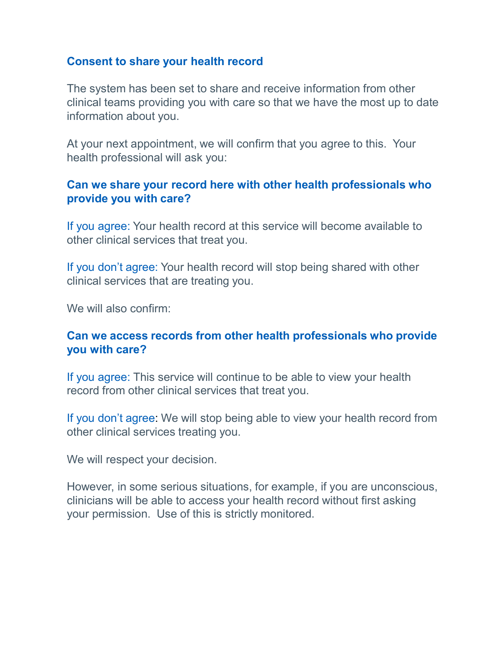#### Consent to share your health record

The system has been set to share and receive information from other clinical teams providing you with care so that we have the most up to date information about you.

At your next appointment, we will confirm that you agree to this. Your health professional will ask you:

#### Can we share your record here with other health professionals who provide you with care?

If you agree: Your health record at this service will become available to other clinical services that treat you.

If you don't agree: Your health record will stop being shared with other clinical services that are treating you.

We will also confirm:

#### Can we access records from other health professionals who provide you with care?

If you agree: This service will continue to be able to view your health record from other clinical services that treat you.

If you don't agree: We will stop being able to view your health record from other clinical services treating you.

We will respect your decision.

However, in some serious situations, for example, if you are unconscious, clinicians will be able to access your health record without first asking your permission. Use of this is strictly monitored.